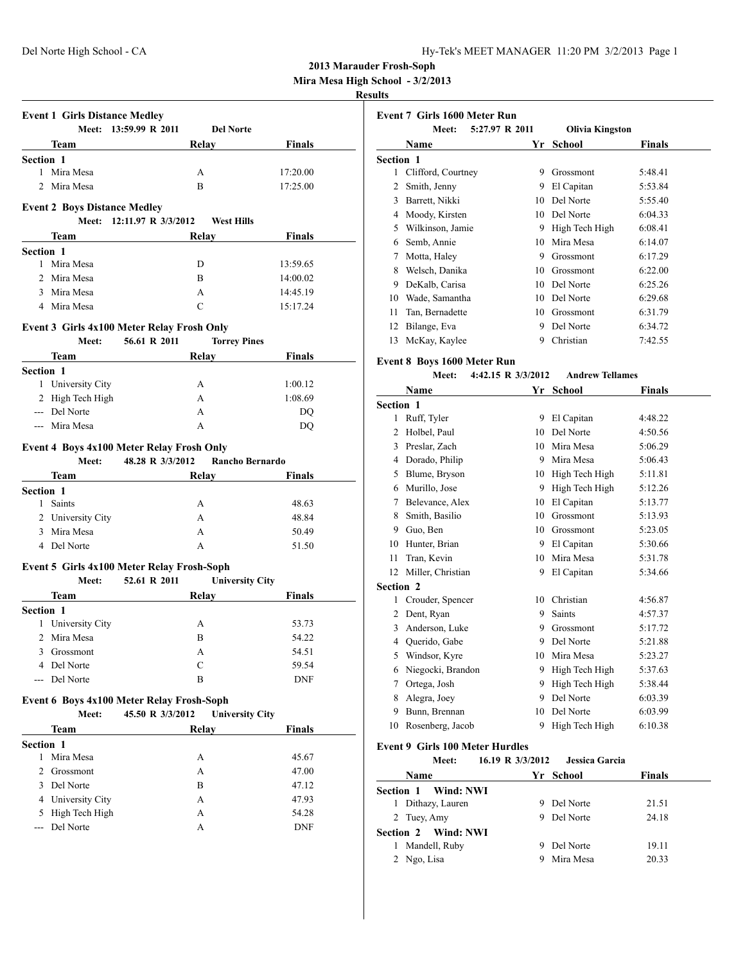| Iy-Tek's MEET MANAGER 11:20 PM 3/2/2013 Page 1 |  |  |  |  |
|------------------------------------------------|--|--|--|--|
|------------------------------------------------|--|--|--|--|

**Mira Mesa High School - 3/2/2013**

### **Results**

|     | Meet: 13:59.99 R 2011                                                                                                                                                                                                               | Del Norte                                        |                |
|-----|-------------------------------------------------------------------------------------------------------------------------------------------------------------------------------------------------------------------------------------|--------------------------------------------------|----------------|
|     |                                                                                                                                                                                                                                     | Relay Relay                                      | <b>Finals</b>  |
|     | Section 1                                                                                                                                                                                                                           |                                                  |                |
|     | 1 Mira Mesa                                                                                                                                                                                                                         | A                                                | 17:20.00       |
|     | 2 Mira Mesa                                                                                                                                                                                                                         | B                                                | 17:25.00       |
|     | <b>Event 2 Boys Distance Medley</b>                                                                                                                                                                                                 |                                                  |                |
|     |                                                                                                                                                                                                                                     | Meet: 12:11.97 R 3/3/2012<br><b>West Hills</b>   |                |
|     | Team                                                                                                                                                                                                                                | Relay                                            | <b>Finals</b>  |
|     | <b>Section 1</b>                                                                                                                                                                                                                    |                                                  |                |
|     | 1 Mira Mesa                                                                                                                                                                                                                         | D                                                | 13:59.65       |
|     | 2 Mira Mesa                                                                                                                                                                                                                         | B                                                | 14:00.02       |
|     | 3 Mira Mesa                                                                                                                                                                                                                         | A                                                | 14:45.19       |
|     | 4 Mira Mesa                                                                                                                                                                                                                         | C                                                | 15:17.24       |
|     |                                                                                                                                                                                                                                     |                                                  |                |
|     |                                                                                                                                                                                                                                     | Event 3 Girls 4x100 Meter Relay Frosh Only       |                |
|     | Meet:                                                                                                                                                                                                                               | 56.61 R 2011<br><b>Torrey Pines</b>              |                |
|     | Team <u>and</u> the state of the state of the state of the state of the state of the state of the state of the state of the state of the state of the state of the state of the state of the state of the state of the state of the | Relay                                            | <b>Finals</b>  |
|     | Section 1                                                                                                                                                                                                                           |                                                  |                |
|     | 1 University City                                                                                                                                                                                                                   | A                                                | 1:00.12        |
|     | 2 High Tech High                                                                                                                                                                                                                    | A                                                | 1:08.69        |
|     | --- Del Norte                                                                                                                                                                                                                       | A                                                | DQ             |
|     | --- Mira Mesa                                                                                                                                                                                                                       | A                                                | DQ             |
|     |                                                                                                                                                                                                                                     | Event 4 Boys 4x100 Meter Relay Frosh Only        |                |
|     |                                                                                                                                                                                                                                     | Meet: 48.28 R 3/3/2012<br><b>Rancho Bernardo</b> |                |
|     | Team                                                                                                                                                                                                                                | Relay                                            | Finals         |
|     | <b>Section 1</b>                                                                                                                                                                                                                    |                                                  |                |
|     | 1 Saints                                                                                                                                                                                                                            | A                                                | 48.63          |
|     | 2 University City                                                                                                                                                                                                                   | A                                                | 48.84          |
|     | 3 Mira Mesa                                                                                                                                                                                                                         | A                                                | 50.49          |
|     | 4 Del Norte                                                                                                                                                                                                                         | A                                                | 51.50          |
|     |                                                                                                                                                                                                                                     | Event 5 Girls 4x100 Meter Relay Frosh-Soph       |                |
|     | Meet: 52.61 R 2011                                                                                                                                                                                                                  | <b>University City</b>                           |                |
|     |                                                                                                                                                                                                                                     |                                                  |                |
|     |                                                                                                                                                                                                                                     |                                                  |                |
|     | <b>Team</b>                                                                                                                                                                                                                         | <b>Relay</b>                                     | Finals         |
|     | <b>Section 1</b>                                                                                                                                                                                                                    | A                                                | 53.73          |
|     | 1 University City<br>2 Mira Mesa                                                                                                                                                                                                    | B                                                | 54.22          |
|     |                                                                                                                                                                                                                                     | Α                                                |                |
|     | 3 Grossmont<br>4 Del Norte                                                                                                                                                                                                          | С                                                | 54.51<br>59.54 |
| --- | Del Norte                                                                                                                                                                                                                           | B                                                | <b>DNF</b>     |
|     |                                                                                                                                                                                                                                     |                                                  |                |
|     |                                                                                                                                                                                                                                     | Event 6 Boys 4x100 Meter Relay Frosh-Soph        |                |
|     | Meet:                                                                                                                                                                                                                               | 45.50 R 3/3/2012<br><b>University City</b>       |                |
|     | Team                                                                                                                                                                                                                                | <b>Relay</b>                                     | <b>Finals</b>  |
|     | Section 1                                                                                                                                                                                                                           |                                                  |                |
|     | 1 Mira Mesa                                                                                                                                                                                                                         | A                                                | 45.67          |
|     | 2 Grossmont                                                                                                                                                                                                                         | A                                                | 47.00          |
|     | 3 Del Norte                                                                                                                                                                                                                         | B                                                | 47.12          |
|     | 4 University City                                                                                                                                                                                                                   | A                                                | 47.93          |
|     | 5 High Tech High<br>--- Del Norte                                                                                                                                                                                                   | A<br>А                                           | 54.28<br>DNF   |

|           | 5:27.97 R 2011<br>Meet: |    | <b>Olivia Kingston</b> |         |
|-----------|-------------------------|----|------------------------|---------|
|           | Name                    | Yr | School                 | Finals  |
| Section 1 |                         |    |                        |         |
| 1         | Clifford, Courtney      | 9  | Grossmont              | 5:48.41 |
| 2         | Smith, Jenny            | 9  | El Capitan             | 5:53.84 |
| 3         | Barrett, Nikki          | 10 | Del Norte              | 5:55.40 |
| 4         | Moody, Kirsten          | 10 | Del Norte              | 6:04.33 |
| 5         | Wilkinson, Jamie        | 9  | High Tech High         | 6:08.41 |
| 6         | Semb, Annie             | 10 | Mira Mesa              | 6:14.07 |
| 7         | Motta, Haley            | 9  | Grossmont              | 6:17.29 |
| 8         | Welsch, Danika          | 10 | Grossmont              | 6:22.00 |
| 9         | DeKalb, Carisa          | 10 | Del Norte              | 6:25.26 |
| 10        | Wade, Samantha          | 10 | Del Norte              | 6:29.68 |
| 11        | Tan, Bernadette         | 10 | Grossmont              | 6:31.79 |
| 12        | Bilange, Eva            | 9  | Del Norte              | 6:34.72 |
| 13        | McKay, Kaylee           | 9  | Christian              | 7:42.55 |

# **Event 8 Boys 1600 Meter Run**

|           | Meet:             | 4:42.15 R 3/3/2012 | <b>Andrew Tellames</b> |         |
|-----------|-------------------|--------------------|------------------------|---------|
|           | Name              | Yr                 | <b>School</b>          | Finals  |
| Section 1 |                   |                    |                        |         |
| 1         | Ruff, Tyler       | 9                  | El Capitan             | 4:48.22 |
| 2         | Holbel, Paul      | 10                 | Del Norte              | 4:50.56 |
| 3         | Preslar, Zach     | 10                 | Mira Mesa              | 5:06.29 |
| 4         | Dorado, Philip    | 9                  | Mira Mesa              | 5:06.43 |
| 5         | Blume, Bryson     | 10                 | High Tech High         | 5:11.81 |
| 6         | Murillo, Jose     | 9                  | High Tech High         | 5:12.26 |
| 7         | Belevance, Alex   | 10                 | El Capitan             | 5:13.77 |
| 8         | Smith, Basilio    | 10                 | Grossmont              | 5:13.93 |
| 9         | Guo, Ben          | 10                 | Grossmont              | 5:23.05 |
| 10        | Hunter, Brian     | 9                  | El Capitan             | 5:30.66 |
| 11        | Tran, Kevin       | 10                 | Mira Mesa              | 5:31.78 |
| 12        | Miller, Christian | 9                  | El Capitan             | 5:34.66 |
| Section 2 |                   |                    |                        |         |
| 1         | Crouder, Spencer  | 10                 | Christian              | 4:56.87 |
| 2         | Dent, Ryan        | 9                  | Saints                 | 4:57.37 |
| 3         | Anderson, Luke    | 9                  | Grossmont              | 5:17.72 |
| 4         | Querido, Gabe     | 9                  | Del Norte              | 5:21.88 |
| 5         | Windsor, Kyre     | 10                 | Mira Mesa              | 5:23.27 |
| 6         | Niegocki, Brandon | 9                  | High Tech High         | 5:37.63 |
| 7         | Ortega, Josh      | 9                  | High Tech High         | 5:38.44 |
| 8         | Alegra, Joey      | 9                  | Del Norte              | 6:03.39 |
| 9         | Bunn, Brennan     | 10                 | Del Norte              | 6:03.99 |
| 10        | Rosenberg, Jacob  | 9                  | High Tech High         | 6:10.38 |

### **Event 9 Girls 100 Meter Hurdles**

| Meet:                  | 16.19 R 3/3/2012 | <b>Jessica Garcia</b> |               |
|------------------------|------------------|-----------------------|---------------|
| <b>Name</b>            |                  | Yr School             | <b>Finals</b> |
| Wind: NWI<br>Section 1 |                  |                       |               |
| Dithazy, Lauren        |                  | Del Norte             | 21.51         |
| 2 Tuey, Amy            | 9                | Del Norte             | 24.18         |
| Section 2 Wind: NWI    |                  |                       |               |
| Mandell, Ruby          |                  | Del Norte             | 19.11         |
| 2 Ngo, Lisa            |                  | Mira Mesa             | 20.33         |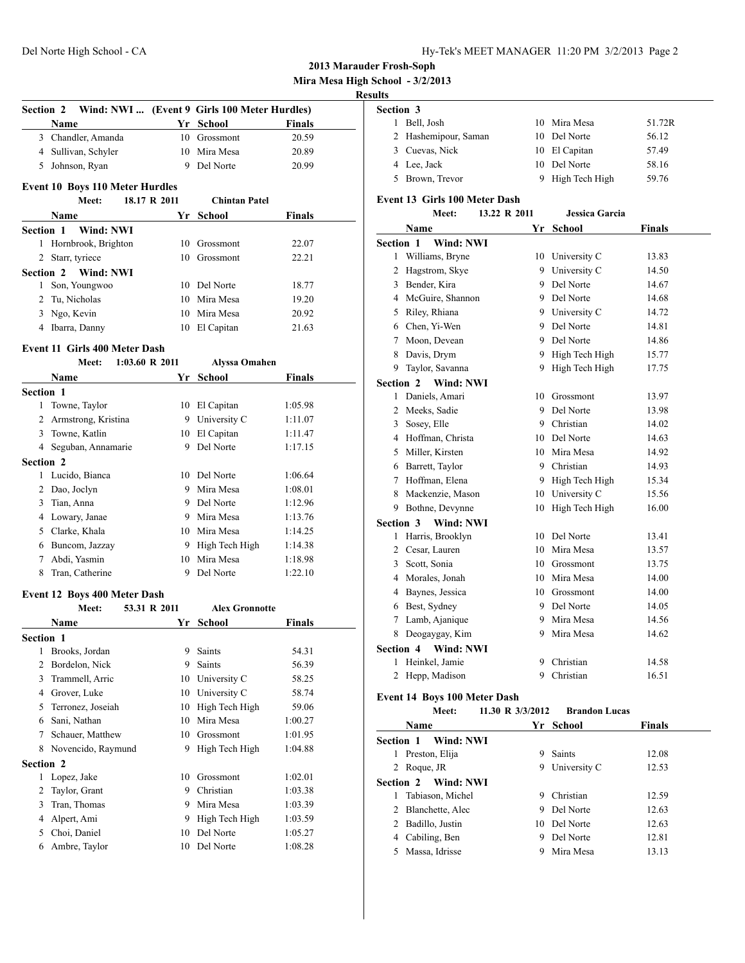| Hy-Tek's MEET MANAGER 11:20 PM 3/2/2013 Page 2 |  |  |  |
|------------------------------------------------|--|--|--|
|------------------------------------------------|--|--|--|

**Mira Mesa High School - 3/2/2013**

### **Results**

| <b>Section 2</b> |                                              |                | Wind: NWI  (Event 9 Girls 100 Meter Hurdles) |               |
|------------------|----------------------------------------------|----------------|----------------------------------------------|---------------|
|                  | Name                                         |                | Yr School                                    | Finals        |
|                  | 3 Chandler, Amanda                           |                | 10 Grossmont                                 | 20.59         |
|                  | 4 Sullivan, Schyler                          |                | 10 Mira Mesa                                 | 20.89         |
|                  | 5 Johnson, Ryan                              |                | 9 Del Norte                                  | 20.99         |
|                  | <b>Event 10 Boys 110 Meter Hurdles</b>       |                |                                              |               |
|                  | Meet:                                        | 18.17 R 2011   | <b>Chintan Patel</b>                         |               |
|                  | Name                                         |                | Yr School                                    | <b>Finals</b> |
| <b>Section 1</b> | Wind: NWI                                    |                |                                              |               |
|                  | 1 Hornbrook, Brighton                        | 10             | Grossmont                                    | 22.07         |
|                  | 2 Starr, tyriece                             |                | 10 Grossmont                                 | 22.21         |
|                  | Section 2 Wind: NWI                          |                |                                              |               |
|                  | 1 Son, Youngwoo                              |                | 10 Del Norte                                 | 18.77         |
|                  | 2 Tu, Nicholas                               |                | 10 Mira Mesa                                 | 19.20         |
|                  | 3 Ngo, Kevin                                 |                | 10 Mira Mesa                                 | 20.92         |
|                  | 4 Ibarra, Danny                              |                | 10 El Capitan                                | 21.63         |
|                  | <b>Event 11 Girls 400 Meter Dash</b>         |                |                                              |               |
|                  | Meet:                                        | 1:03.60 R 2011 | <b>Alyssa Omahen</b>                         |               |
|                  | <b>Name</b>                                  |                | Yr School                                    | Finals        |
| <b>Section 1</b> |                                              |                |                                              |               |
|                  | 1 Towne, Taylor                              |                | 10 El Capitan                                | 1:05.98       |
|                  | 2 Armstrong, Kristina                        |                | 9 University C                               | 1:11.07       |
|                  | 3 Towne, Katlin                              |                | 10 El Capitan                                | 1:11.47       |
|                  | 4 Seguban, Annamarie                         |                | 9 Del Norte                                  | 1:17.15       |
| <b>Section 2</b> |                                              |                |                                              |               |
|                  | 1 Lucido, Bianca                             |                | 10 Del Norte                                 | 1:06.64       |
|                  | 2 Dao, Joclyn                                |                | 9 Mira Mesa                                  | 1:08.01       |
|                  | 3 Tian, Anna                                 |                | 9 Del Norte                                  | 1:12.96       |
|                  | 4 Lowary, Janae                              |                | 9 Mira Mesa                                  | 1:13.76       |
|                  | 5 Clarke, Khala                              |                | 10 Mira Mesa                                 | 1:14.25       |
|                  | 6 Buncom, Jazzay                             |                | 9 High Tech High                             | 1:14.38       |
|                  | 7 Abdi, Yasmin                               |                | 10 Mira Mesa                                 | 1:18.98       |
|                  | 8 Tran, Catherine                            |                | 9 Del Norte                                  | 1:22.10       |
|                  |                                              |                |                                              |               |
|                  | Event 12 Boys 400 Meter Dash<br><b>Meet:</b> | 53.31 R 2011   | <b>Alex Gronnotte</b>                        |               |
|                  | Name                                         |                | Yr School                                    | Finals        |
| Section 1        |                                              |                |                                              |               |
| 1                | Brooks, Jordan                               | 9              | Saints                                       | 54.31         |
|                  | 2 Bordelon, Nick                             | 9.             | Saints                                       | 56.39         |
| 3                | Trammell, Arric                              | 10             | University C                                 | 58.25         |
|                  | 4 Grover, Luke                               |                | 10 University C                              | 58.74         |
|                  | 5 Terronez, Joseiah                          | 10             | High Tech High                               | 59.06         |
|                  | 6 Sani, Nathan                               | 10             | Mira Mesa                                    | 1:00.27       |
| 7                | Schauer, Matthew                             | 10             | Grossmont                                    | 1:01.95       |
|                  | 8 Novencido, Raymund                         | 9.             | High Tech High                               | 1:04.88       |
| <b>Section 2</b> |                                              |                |                                              |               |
| $\mathbf{1}$     | Lopez, Jake                                  | 10             | Grossmont                                    | 1:02.01       |
| 2                | Taylor, Grant                                | 9.             | Christian                                    | 1:03.38       |
| 3                | Tran, Thomas                                 | 9.             | Mira Mesa                                    | 1:03.39       |
|                  | 4 Alpert, Ami                                | 9.             | High Tech High                               | 1:03.59       |
| 5                | Choi, Daniel                                 | 10             | Del Norte                                    | 1:05.27       |
| 6                | Ambre, Taylor                                | 10             | Del Norte                                    | 1:08.28       |
|                  |                                              |                |                                              |               |

| Section 3 |                      |    |                |        |  |  |
|-----------|----------------------|----|----------------|--------|--|--|
|           | Bell, Josh           |    | 10 Mira Mesa   | 51.72R |  |  |
|           | 2 Hashemipour, Saman |    | 10 Del Norte   | 56.12  |  |  |
|           | 3 Cuevas, Nick       |    | 10 El Capitan  | 57.49  |  |  |
|           | 4 Lee, Jack          |    | 10 Del Norte   | 58.16  |  |  |
|           | 5 Brown, Trevor      | 9. | High Tech High | 59.76  |  |  |

### **Event 13 Girls 100 Meter Dash**

|                  | Meet:                                        | 13.22 R 2011     | <b>Jessica Garcia</b> |               |
|------------------|----------------------------------------------|------------------|-----------------------|---------------|
|                  | Name                                         | Yr               | School                | <b>Finals</b> |
| Section 1        | <b>Wind: NWI</b>                             |                  |                       |               |
| 1                | Williams, Bryne                              |                  | 10 University C       | 13.83         |
|                  | 2 Hagstrom, Skye                             |                  | 9 University C        | 14.50         |
|                  | 3 Bender, Kira                               |                  | 9 Del Norte           | 14.67         |
|                  | 4 McGuire, Shannon                           |                  | 9 Del Norte           | 14.68         |
|                  | 5 Riley, Rhiana                              |                  | 9 University C        | 14.72         |
|                  | 6 Chen, Yi-Wen                               |                  | 9 Del Norte           | 14.81         |
|                  | 7 Moon, Devean                               |                  | 9 Del Norte           | 14.86         |
| 8                | Davis, Drym                                  |                  | 9 High Tech High      | 15.77         |
| 9                | Taylor, Savanna                              |                  | 9 High Tech High      | 17.75         |
| <b>Section 2</b> | Wind: NWI                                    |                  |                       |               |
| 1                | Daniels, Amari                               |                  | 10 Grossmont          | 13.97         |
|                  | 2 Meeks, Sadie                               |                  | 9 Del Norte           | 13.98         |
|                  | 3 Sosey, Elle                                |                  | 9 Christian           | 14.02         |
|                  | 4 Hoffman, Christa                           |                  | 10 Del Norte          | 14.63         |
|                  | 5 Miller, Kirsten                            |                  | 10 Mira Mesa          | 14.92         |
|                  | 6 Barrett, Taylor                            |                  | 9 Christian           | 14.93         |
|                  | 7 Hoffman, Elena                             |                  | 9 High Tech High      | 15.34         |
|                  | 8 Mackenzie, Mason                           |                  | 10 University C       | 15.56         |
|                  | 9 Bothne, Devynne                            | 10               | High Tech High        | 16.00         |
| Section 3        | Wind: NWI                                    |                  |                       |               |
| 1                | Harris, Brooklyn                             | 10               | Del Norte             | 13.41         |
|                  | 2 Cesar, Lauren                              |                  | 10 Mira Mesa          | 13.57         |
|                  | 3 Scott, Sonia                               |                  | 10 Grossmont          | 13.75         |
|                  | 4 Morales, Jonah                             |                  | 10 Mira Mesa          | 14.00         |
|                  | 4 Baynes, Jessica                            |                  | 10 Grossmont          | 14.00         |
|                  | 6 Best, Sydney                               |                  | 9 Del Norte           | 14.05         |
|                  | 7 Lamb, Ajanique                             |                  | 9 Mira Mesa           | 14.56         |
|                  | 8 Deogaygay, Kim                             |                  | 9 Mira Mesa           | 14.62         |
| Section 4        | Wind: NWI                                    |                  |                       |               |
| 1                | Heinkel, Jamie                               | 9                | Christian             | 14.58         |
| 2                | Hepp, Madison                                | 9                | Christian             | 16.51         |
|                  |                                              |                  |                       |               |
|                  | <b>Event 14 Boys 100 Meter Dash</b><br>Meet: | 11.30 R 3/3/2012 | <b>Brandon Lucas</b>  |               |
|                  |                                              |                  |                       |               |
|                  | Name                                         | Yr               | School                | Finals        |
|                  | <b>Section 1</b><br>Wind: NWI                |                  |                       |               |
|                  | 1 Preston, Elija                             | 9                | Saints                | 12.08         |
| $\overline{2}$   | Roque, JR                                    | 9                | University C          | 12.53         |
| Section 2        | Wind: NWI                                    |                  |                       |               |
| 1                | Tabiason, Michel                             | 9.               | Christian             | 12.59         |
| 2                | Blanchette, Alec                             | 9                | Del Norte             | 12.63         |
|                  | 2 Badillo, Justin                            | 10               | Del Norte             | 12.63         |
|                  | 4 Cabiling, Ben                              | 9                | Del Norte             | 12.81         |
|                  | 5 Massa, Idrisse                             | 9                | Mira Mesa             | 13.13         |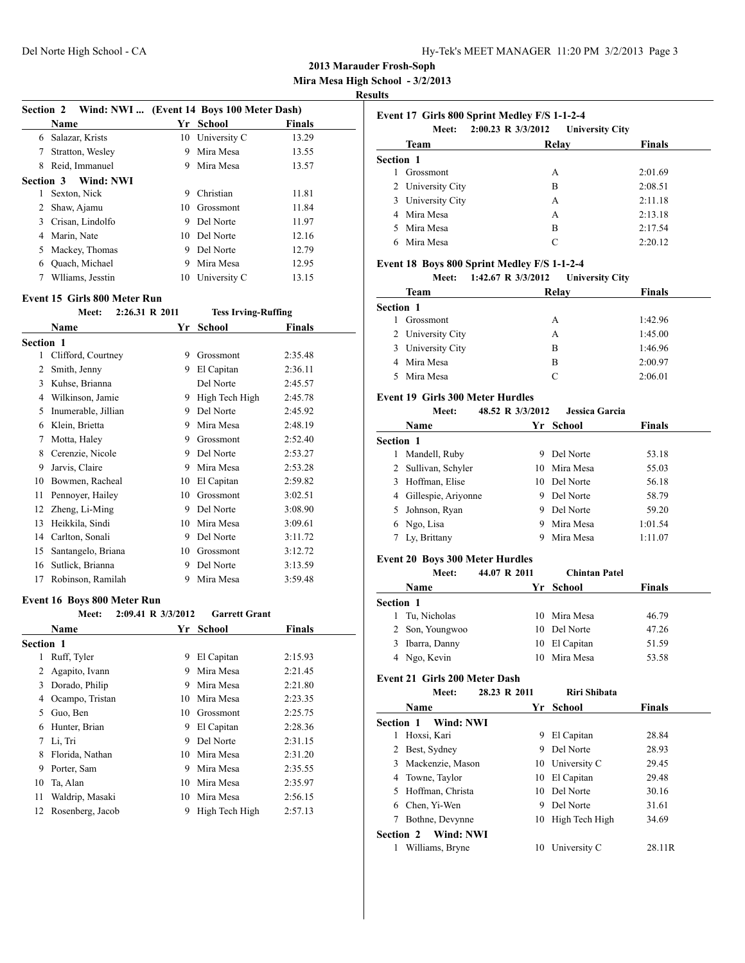**Mira Mesa High School - 3/2/2013**

### **Results**

| <b>Section 2</b> | Wind: NWI  (Event 14 Boys 100 Meter Dash) |    |              |               |
|------------------|-------------------------------------------|----|--------------|---------------|
|                  | <b>Name</b>                               | Yr | School       | <b>Finals</b> |
| 6                | Salazar, Krists                           | 10 | University C | 13.29         |
|                  | Stratton, Wesley                          | 9  | Mira Mesa    | 13.55         |
| 8                | Reid, Immanuel                            | 9  | Mira Mesa    | 13.57         |
|                  | Section 3 Wind: NWI                       |    |              |               |
| 1                | Sexton, Nick                              | 9  | Christian    | 11.81         |
| 2                | Shaw, Ajamu                               | 10 | Grossmont    | 11.84         |
| 3                | Crisan, Lindolfo                          | 9  | Del Norte    | 11.97         |
| 4                | Marin, Nate                               | 10 | Del Norte    | 12.16         |
| 5                | Mackey, Thomas                            | 9  | Del Norte    | 12.79         |
| 6                | Quach, Michael                            | 9  | Mira Mesa    | 12.95         |
|                  | Wlliams, Jesstin                          | 10 | University C | 13.15         |
|                  |                                           |    |              |               |

#### **Event 15 Girls 800 Meter Run**

|                  | Meet:               | 2:26.31 R 2011 | <b>Tess Irving-Ruffing</b> |               |
|------------------|---------------------|----------------|----------------------------|---------------|
|                  | Name                | Yr             | School                     | <b>Finals</b> |
| <b>Section 1</b> |                     |                |                            |               |
| 1                | Clifford, Courtney  | 9              | Grossmont                  | 2:35.48       |
| $\overline{c}$   | Smith, Jenny        | 9              | El Capitan                 | 2:36.11       |
| 3                | Kuhse, Brianna      |                | Del Norte                  | 2:45.57       |
| 4                | Wilkinson, Jamie    | 9              | High Tech High             | 2:45.78       |
| 5                | Inumerable, Jillian | 9              | Del Norte                  | 2:45.92       |
| 6                | Klein, Brietta      | 9              | Mira Mesa                  | 2:48.19       |
| 7                | Motta, Haley        | 9              | Grossmont                  | 2:52.40       |
| 8                | Cerenzie, Nicole    | 9              | Del Norte                  | 2:53.27       |
| 9                | Jarvis, Claire      | 9              | Mira Mesa                  | 2:53.28       |
| 10               | Bowmen, Racheal     | 10             | El Capitan                 | 2:59.82       |
| 11               | Pennoyer, Hailey    | 10             | Grossmont                  | 3:02.51       |
| 12               | Zheng, Li-Ming      | 9              | Del Norte                  | 3:08.90       |
| 13               | Heikkila, Sindi     | 10             | Mira Mesa                  | 3:09.61       |
| 14               | Carlton, Sonali     | 9              | Del Norte                  | 3:11.72       |
| 15               | Santangelo, Briana  | 10             | Grossmont                  | 3:12.72       |
| 16               | Sutlick, Brianna    | 9              | Del Norte                  | 3:13.59       |
| 17               | Robinson, Ramilah   | 9              | Mira Mesa                  | 3:59.48       |
|                  |                     |                |                            |               |

#### **Event 16 Boys 800 Meter Run**

|           | Meet:            | 2:09.41 R 3/3/2012 | <b>Garrett Grant</b> |               |  |
|-----------|------------------|--------------------|----------------------|---------------|--|
|           | <b>Name</b>      | Yr                 | School               | <b>Finals</b> |  |
| Section 1 |                  |                    |                      |               |  |
| 1         | Ruff, Tyler      | 9                  | El Capitan           | 2:15.93       |  |
| 2         | Agapito, Ivann   | 9                  | Mira Mesa            | 2:21.45       |  |
| 3         | Dorado, Philip   | 9                  | Mira Mesa            | 2:21.80       |  |
| 4         | Ocampo, Tristan  | 10                 | Mira Mesa            | 2:23.35       |  |
| 5         | Guo, Ben         | 10                 | Grossmont            | 2:25.75       |  |
| 6         | Hunter, Brian    | 9                  | El Capitan           | 2:28.36       |  |
| 7         | Li, Tri          | 9                  | Del Norte            | 2:31.15       |  |
| 8         | Florida, Nathan  | 10                 | Mira Mesa            | 2:31.20       |  |
| 9         | Porter, Sam      | 9                  | Mira Mesa            | 2:35.55       |  |
| 10        | Ta, Alan         | 10                 | Mira Mesa            | 2:35.97       |  |
| 11        | Waldrip, Masaki  | 10                 | Mira Mesa            | 2:56.15       |  |
| 12        | Rosenberg, Jacob | 9                  | High Tech High       | 2:57.13       |  |
|           |                  |                    |                      |               |  |

| Event 17 Girls 800 Sprint Medley F/S 1-1-2-4<br>2:00.23 R 3/3/2012<br><b>University City</b><br>Meet: |                   |       |               |  |
|-------------------------------------------------------------------------------------------------------|-------------------|-------|---------------|--|
|                                                                                                       | Team              | Relay | <b>Finals</b> |  |
| <b>Section 1</b>                                                                                      |                   |       |               |  |
|                                                                                                       | Grossmont         | А     | 2:01.69       |  |
|                                                                                                       | 2 University City | B     | 2:08.51       |  |
| 3                                                                                                     | University City   | A     | 2:11.18       |  |
|                                                                                                       | 4 Mira Mesa       | A     | 2:13.18       |  |
|                                                                                                       | Mira Mesa         | B     | 2:17.54       |  |
|                                                                                                       | Mira Mesa         | C     | 2.2012        |  |

## **Event 18 Boys 800 Sprint Medley F/S 1-1-2-4**

**Meet: 1:42.67 R 3/3/2012 University City**

|                  | Team              | Relay | <b>Finals</b> |
|------------------|-------------------|-------|---------------|
| <b>Section 1</b> |                   |       |               |
|                  | Grossmont         | A     | 1:42.96       |
|                  | 2 University City | A     | 1:45.00       |
|                  | 3 University City | в     | 1:46.96       |
|                  | 4 Mira Mesa       | в     | 2:00.97       |
|                  | 5 Mira Mesa       | C     | 2:06.01       |

#### **Event 19 Girls 300 Meter Hurdles**

#### **Meet: 48.52 R 3/3/2012 Jessica Garcia**

|                  | <b>Name</b>         | Yr | School    | <b>Finals</b> |  |
|------------------|---------------------|----|-----------|---------------|--|
| <b>Section 1</b> |                     |    |           |               |  |
|                  | Mandell, Ruby       | 9  | Del Norte | 53.18         |  |
|                  | 2 Sullivan, Schyler | 10 | Mira Mesa | 55.03         |  |
| 3                | Hoffman, Elise      | 10 | Del Norte | 56.18         |  |
| 4                | Gillespie, Ariyonne | 9  | Del Norte | 58.79         |  |
| 5.               | Johnson, Ryan       | 9  | Del Norte | 59.20         |  |
|                  | 6 Ngo, Lisa         | 9  | Mira Mesa | 1:01.54       |  |
|                  | Ly, Brittany        | 9  | Mira Mesa | 1:11.07       |  |

### **Event 20 Boys 300 Meter Hurdles**

|                  | Meet:           | 44.07 R 2011 | <b>Chintan Patel</b> |               |  |
|------------------|-----------------|--------------|----------------------|---------------|--|
|                  | <b>Name</b>     |              | Yr School            | <b>Finals</b> |  |
| <b>Section 1</b> |                 |              |                      |               |  |
|                  | Tu, Nicholas    |              | 10 Mira Mesa         | 46.79         |  |
|                  | 2 Son, Youngwoo |              | 10 Del Norte         | 47.26         |  |
| 3.               | Ibarra, Danny   |              | 10 El Capitan        | 51.59         |  |
|                  | 4 Ngo, Kevin    |              | 10 Mira Mesa         | 53.58         |  |

## **Event 21 Girls 200 Meter Dash**

 $\mathcal{L}^{\text{max}}$ 

| Meet: | 28.23 R 2011 | Riri Shibata |               |
|-------|--------------|--------------|---------------|
| Name  |              | Yr School    | <b>Finals</b> |

| Section 1 | - Wind: NWI         |     |                   |        |
|-----------|---------------------|-----|-------------------|--------|
|           | Hoxsi, Kari         | 9   | El Capitan        | 28.84  |
| 2         | Best, Sydney        | 9   | Del Norte         | 28.93  |
| 3         | Mackenzie, Mason    |     | 10 University C   | 29.45  |
|           | 4 Towne, Taylor     |     | 10 El Capitan     | 29.48  |
| 5.        | Hoffman, Christa    | 10. | Del Norte         | 30.16  |
| 6         | Chen, Yi-Wen        | 9   | Del Norte         | 31.61  |
| 7         | Bothne, Devynne     |     | 10 High Tech High | 34.69  |
|           | Section 2 Wind: NWI |     |                   |        |
|           | Williams, Bryne     | 10  | University C      | 28.11R |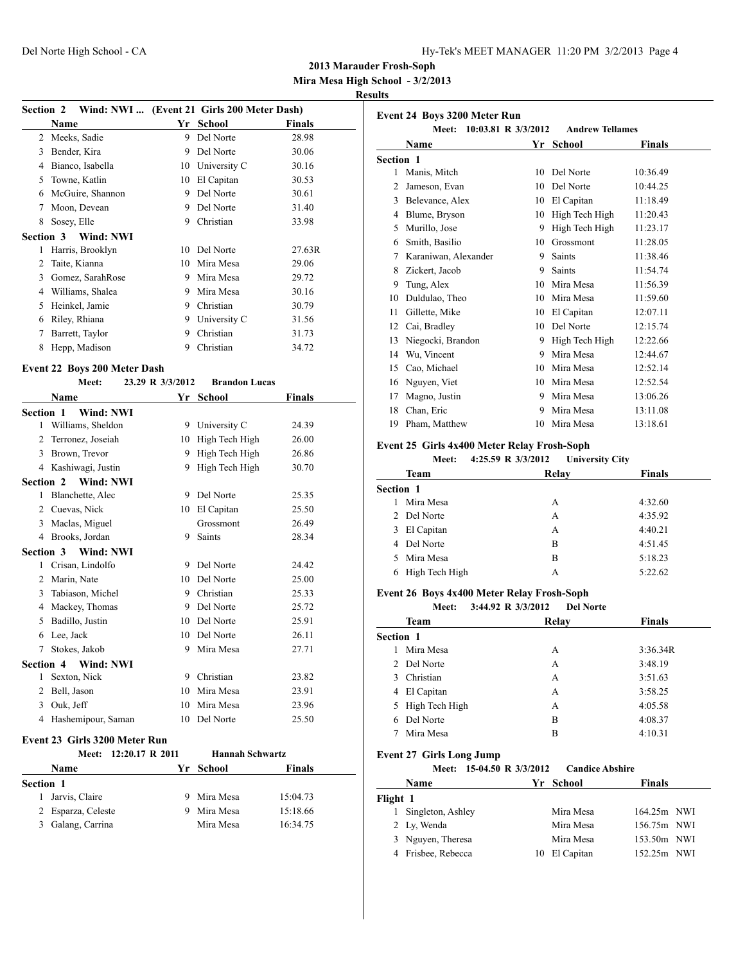**Mira Mesa High School - 3/2/2013**

### **Results**

|                  | Section 2 Wind: NWI  (Event 21 Girls 200 Meter Dash) |    |              |               |
|------------------|------------------------------------------------------|----|--------------|---------------|
|                  | Name                                                 | Yr | School       | <b>Finals</b> |
| 2                | Meeks, Sadie                                         | 9  | Del Norte    | 28.98         |
| 3                | Bender, Kira                                         | 9  | Del Norte    | 30.06         |
| 4                | Bianco, Isabella                                     | 10 | University C | 30.16         |
| 5                | Towne, Katlin                                        | 10 | El Capitan   | 30.53         |
| 6                | McGuire, Shannon                                     | 9  | Del Norte    | 30.61         |
| 7                | Moon, Devean                                         | 9  | Del Norte    | 31.40         |
| 8                | Sosey, Elle                                          | 9  | Christian    | 33.98         |
| <b>Section 3</b> | Wind: NWI                                            |    |              |               |
| 1                | Harris, Brooklyn                                     | 10 | Del Norte    | 27.63R        |
| 2                | Taite, Kianna                                        | 10 | Mira Mesa    | 29.06         |
| 3                | Gomez, SarahRose                                     | 9  | Mira Mesa    | 29.72         |
| 4                | Williams, Shalea                                     | 9  | Mira Mesa    | 30.16         |
| 5                | Heinkel, Jamie                                       | 9  | Christian    | 30.79         |
| 6                | Riley, Rhiana                                        | 9  | University C | 31.56         |
| 7                | Barrett, Taylor                                      | 9  | Christian    | 31.73         |
| 8                | Hepp, Madison                                        | 9  | Christian    | 34.72         |
|                  |                                                      |    |              |               |

## **Event 22 Boys 200 Meter Dash**

|                  | Meet:                      | 23.29 R 3/3/2012 | <b>Brandon Lucas</b> |        |
|------------------|----------------------------|------------------|----------------------|--------|
|                  | <b>Name</b>                |                  | Yr School            | Finals |
| Section 1        | Wind: NWI                  |                  |                      |        |
| $\mathbf{1}$     | Williams, Sheldon          | 9                | University C         | 24.39  |
| 2                | Terronez, Joseiah          | 10               | High Tech High       | 26.00  |
| 3                | Brown, Trevor              | 9                | High Tech High       | 26.86  |
| 4                | Kashiwagi, Justin          | 9                | High Tech High       | 30.70  |
| Section 2        | Wind: NWI                  |                  |                      |        |
| 1                | Blanchette, Alec           | 9                | Del Norte            | 25.35  |
| 2                | Cuevas, Nick               | 10               | El Capitan           | 25.50  |
| 3                | Maclas, Miguel             |                  | Grossmont            | 26.49  |
| 4                | Brooks, Jordan             | 9                | <b>Saints</b>        | 28.34  |
| <b>Section 3</b> | Wind: NWI                  |                  |                      |        |
| 1                | Crisan, Lindolfo           | 9                | Del Norte            | 24.42  |
| 2                | Marin, Nate                | 10               | Del Norte            | 25.00  |
| 3                | Tabiason, Michel           | 9                | Christian            | 25.33  |
| 4                | Mackey, Thomas             | 9                | Del Norte            | 25.72  |
| 5                | Badillo, Justin            | 10               | Del Norte            | 25.91  |
| 6                | Lee, Jack                  | 10               | Del Norte            | 26.11  |
| 7                | Stokes, Jakob              | 9                | Mira Mesa            | 27.71  |
|                  | <b>Section 4 Wind: NWI</b> |                  |                      |        |
| 1                | Sexton, Nick               | 9                | Christian            | 23.82  |
| 2                | Bell, Jason                | 10               | Mira Mesa            | 23.91  |
| 3                | Ouk, Jeff                  | 10               | Mira Mesa            | 23.96  |
| 4                | Hashemipour, Saman         | 10               | Del Norte            | 25.50  |
|                  |                            |                  |                      |        |

## **Event 23 Girls 3200 Meter Run**

|                  | Meet: 12:20.17 R 2011 |    |           | <b>Hannah Schwartz</b> |
|------------------|-----------------------|----|-----------|------------------------|
|                  | Name                  |    | Yr School | <b>Finals</b>          |
| <b>Section 1</b> |                       |    |           |                        |
| L                | Jarvis, Claire        | 9. | Mira Mesa | 15:04.73               |
|                  | 2 Esparza, Celeste    |    | Mira Mesa | 15:18.66               |
| 3                | Galang, Carrina       |    | Mira Mesa | 16:34.75               |

|                  | <b>Event 24 Boys 3200 Meter Run</b><br>10:03.81 R 3/3/2012<br>Meet: |    | <b>Andrew Tellames</b> |               |
|------------------|---------------------------------------------------------------------|----|------------------------|---------------|
|                  | <b>Name</b>                                                         | Yr | School                 | <b>Finals</b> |
| <b>Section 1</b> |                                                                     |    |                        |               |
| 1                | Manis, Mitch                                                        | 10 | Del Norte              | 10:36.49      |
| $\mathfrak{D}$   | Jameson, Evan                                                       | 10 | Del Norte              | 10:44.25      |
| 3                | Belevance, Alex                                                     | 10 | El Capitan             | 11:18.49      |
| 4                | Blume, Bryson                                                       | 10 | High Tech High         | 11:20.43      |
| 5                | Murillo, Jose                                                       | 9  | High Tech High         | 11:23.17      |
| 6                | Smith, Basilio                                                      | 10 | Grossmont              | 11:28.05      |
| 7                | Karaniwan, Alexander                                                | 9  | <b>Saints</b>          | 11:38.46      |
| 8                | Zickert, Jacob                                                      | 9  | <b>Saints</b>          | 11:54.74      |
| 9                | Tung, Alex                                                          | 10 | Mira Mesa              | 11:56.39      |
| 10               | Duldulao, Theo                                                      | 10 | Mira Mesa              | 11:59.60      |
| 11               | Gillette, Mike                                                      | 10 | El Capitan             | 12:07.11      |
| 12               | Cai, Bradley                                                        | 10 | Del Norte              | 12:15.74      |
| 13               | Niegocki, Brandon                                                   | 9  | High Tech High         | 12:22.66      |
| 14               | Wu, Vincent                                                         | 9  | Mira Mesa              | 12:44.67      |
| 15               | Cao, Michael                                                        | 10 | Mira Mesa              | 12:52.14      |
| 16               | Nguyen, Viet                                                        | 10 | Mira Mesa              | 12:52.54      |
| 17               | Magno, Justin                                                       | 9  | Mira Mesa              | 13:06.26      |
| 18               | Chan, Eric                                                          | 9  | Mira Mesa              | 13:11.08      |
| 19               | Pham, Matthew                                                       | 10 | Mira Mesa              | 13:18.61      |
|                  |                                                                     |    |                        |               |

# **Event 25 Girls 4x400 Meter Relay Frosh-Soph**

| Meet:       | 4:25.59 R 3/3/2012 |                                          |
|-------------|--------------------|------------------------------------------|
| Team        | Relay              | <b>Finals</b>                            |
| Section 1   |                    |                                          |
| Mira Mesa   | A                  | 4:32.60                                  |
| 2 Del Norte | A                  | 4:35.92                                  |
| El Capitan  | А                  | 4:40.21                                  |
| Del Norte   | B                  | 4:51.45                                  |
| Mira Mesa   | B                  | 5:18.23                                  |
|             | А                  | 5:22.62                                  |
|             |                    | <b>University City</b><br>High Tech High |

#### **Event 26 Boys 4x400 Meter Relay Frosh-Soph**

**Meet: 3:44.92 R 3/3/2012 Del Norte**

| Team             | Relay | <b>Finals</b> |
|------------------|-------|---------------|
| <b>Section 1</b> |       |               |
| Mira Mesa        | А     | 3:36.34R      |
| 2 Del Norte      | А     | 3:48.19       |
| Christian<br>3   | А     | 3:51.63       |
| 4 El Capitan     | A     | 3:58.25       |
| 5 High Tech High | А     | 4:05.58       |
| Del Norte<br>6   | B     | 4:08.37       |
| Mira Mesa        | B     | 4:10.31       |
|                  |       |               |

# **Event 27 Girls Long Jump**

|  |  | Meet: 15-04.50 R 3/3/2012 | <b>Candice Abshire</b> |
|--|--|---------------------------|------------------------|
|--|--|---------------------------|------------------------|

|          | Name                | Yr School     | <b>Finals</b> |  |
|----------|---------------------|---------------|---------------|--|
| Flight 1 |                     |               |               |  |
|          | 1 Singleton, Ashley | Mira Mesa     | 164.25m NWI   |  |
|          | 2 Ly, Wenda         | Mira Mesa     | 156.75m NWI   |  |
|          | 3 Nguyen, Theresa   | Mira Mesa     | 153.50m NWI   |  |
|          | 4 Frisbee, Rebecca  | 10 El Capitan | 152.25m NWI   |  |